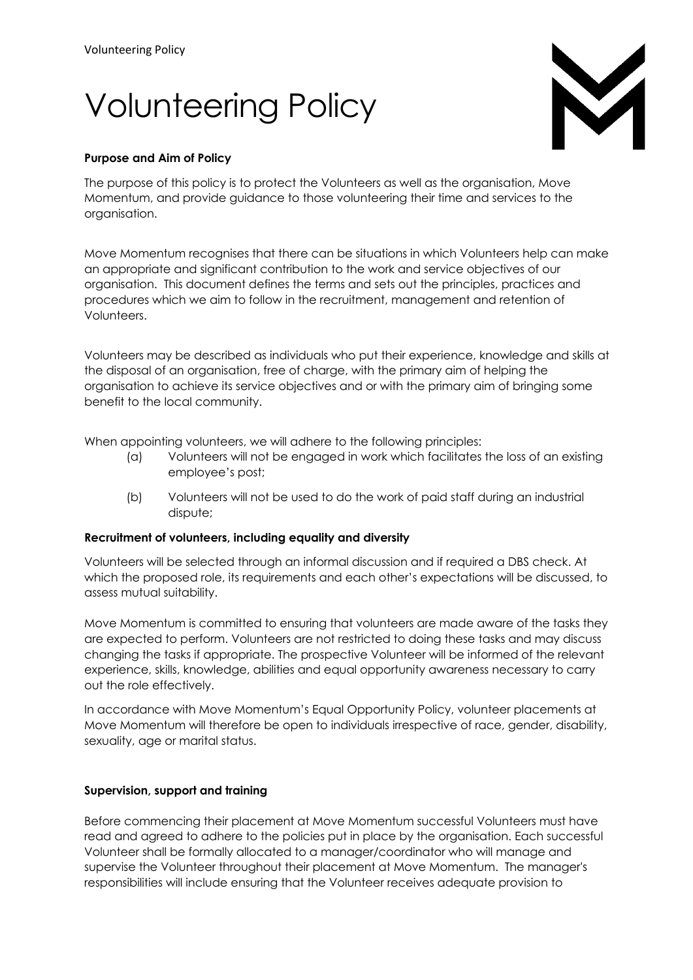# Volunteering Policy



# **Purpose and Aim of Policy**

The purpose of this policy is to protect the Volunteers as well as the organisation, Move Momentum, and provide guidance to those volunteering their time and services to the organisation.

Move Momentum recognises that there can be situations in which Volunteers help can make an appropriate and significant contribution to the work and service objectives of our organisation. This document defines the terms and sets out the principles, practices and procedures which we aim to follow in the recruitment, management and retention of Volunteers.

Volunteers may be described as individuals who put their experience, knowledge and skills at the disposal of an organisation, free of charge, with the primary aim of helping the organisation to achieve its service objectives and or with the primary aim of bringing some benefit to the local community.

When appointing volunteers, we will adhere to the following principles:

- (a) Volunteers will not be engaged in work which facilitates the loss of an existing employee's post;
- (b) Volunteers will not be used to do the work of paid staff during an industrial dispute;

#### **Recruitment of volunteers, including equality and diversity**

Volunteers will be selected through an informal discussion and if required a DBS check. At which the proposed role, its requirements and each other's expectations will be discussed, to assess mutual suitability.

Move Momentum is committed to ensuring that volunteers are made aware of the tasks they are expected to perform. Volunteers are not restricted to doing these tasks and may discuss changing the tasks if appropriate. The prospective Volunteer will be informed of the relevant experience, skills, knowledge, abilities and equal opportunity awareness necessary to carry out the role effectively.

In accordance with Move Momentum's Equal Opportunity Policy, volunteer placements at Move Momentum will therefore be open to individuals irrespective of race, gender, disability, sexuality, age or marital status.

#### **Supervision, support and training**

Before commencing their placement at Move Momentum successful Volunteers must have read and agreed to adhere to the policies put in place by the organisation. Each successful Volunteer shall be formally allocated to a manager/coordinator who will manage and supervise the Volunteer throughout their placement at Move Momentum. The manager's responsibilities will include ensuring that the Volunteer receives adequate provision to